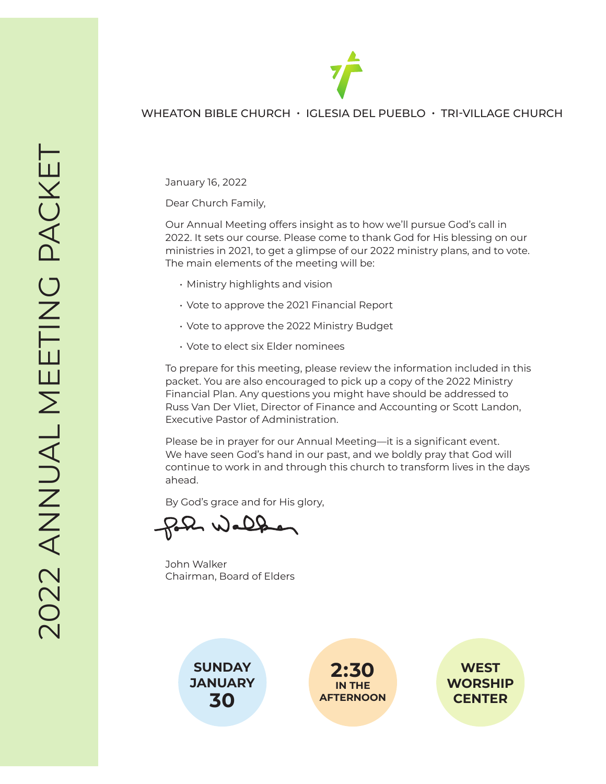

#### WHEATON BIBLE CHURCH • IGLESIA DEL PUEBLO • TRI-VILLAGE CHURCH

January 16, 2022

Dear Church Family,

Our Annual Meeting offers insight as to how we'll pursue God's call in 2022. It sets our course. Please come to thank God for His blessing on our ministries in 2021, to get a glimpse of our 2022 ministry plans, and to vote. The main elements of the meeting will be:

- Ministry highlights and vision
- Vote to approve the 2021 Financial Report
- Vote to approve the 2022 Ministry Budget
- Vote to elect six Elder nominees

To prepare for this meeting, please review the information included in this packet. You are also encouraged to pick up a copy of the 2022 Ministry Financial Plan. Any questions you might have should be addressed to Russ Van Der Vliet, Director of Finance and Accounting or Scott Landon, Executive Pastor of Administration.

Please be in prayer for our Annual Meeting—it is a significant event. We have seen God's hand in our past, and we boldly pray that God will continue to work in and through this church to transform lives in the days ahead.

By God's grace and for His glory,

John Walker Chairman, Board of Elders





**WEST WORSHIP CENTER**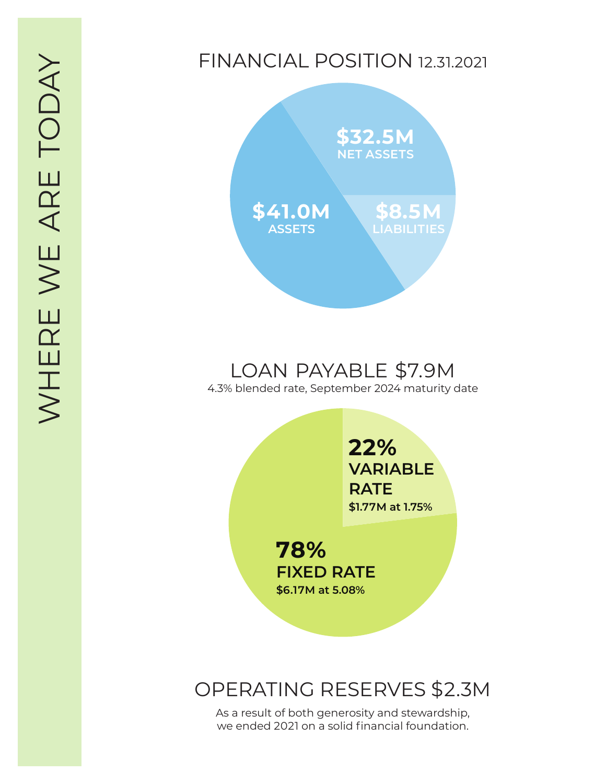## FINANCIAL POSITION 12.31.2021



# LOAN PAYABLE \$7.9M

4.3% blended rate, September 2024 maturity date

**22 % VARIABLE RATE \$1.77M at 1.75 %**

**78 % FIXED RATE \$6.17M at 5.08 %**

## OPERATING RESERVES \$2.3M

As a result of both generosity and stewardship, we ended 2021 on a solid financial foundation.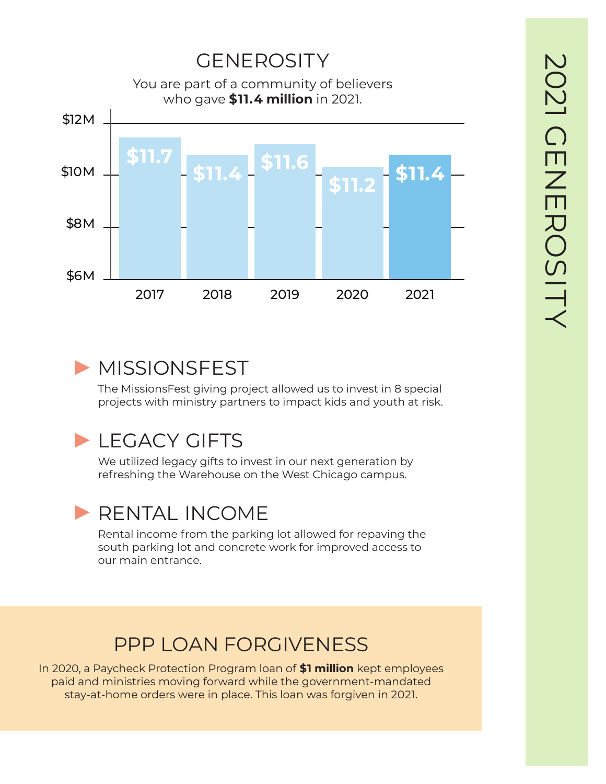

# ▶ MISSIONSFEST

The MissionsFest giving project allowed us to invest in 8 special projects with ministry partners to impact kids and youth at risk.

# **ELEGACY GIFTS**

We utilized legacy gifts to invest in our next generation by refreshing the Warehouse on the West Chicago campus.

# ▶ RENTAL INCOME

Rental income from the parking lot allowed for repaving the south parking lot and concrete work for improved access to our main entrance.

# PPP LOAN FORGIVENESS

In 2020, a Paycheck Protection Program loan of **\$1 million** kept employees paid and ministries moving forward while the government-mandated stay-at-home orders were in place. This loan was forgiven in 2021.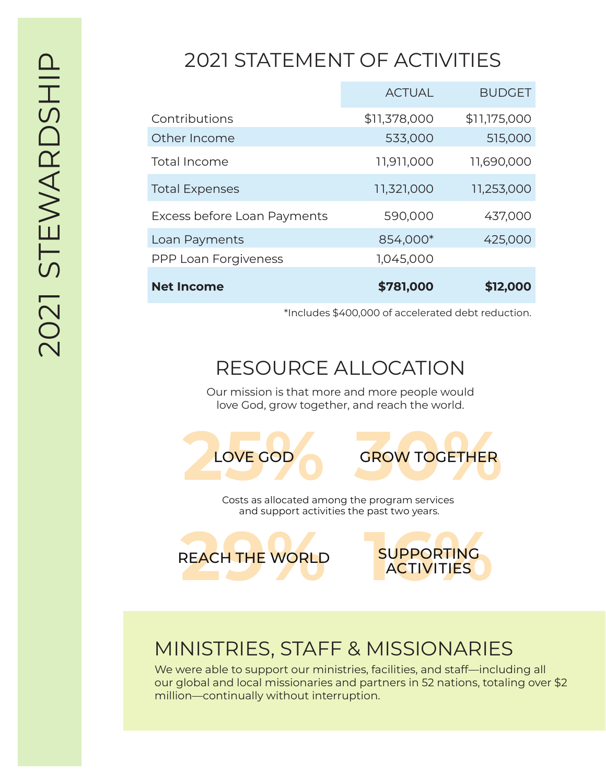# 2021 STATEMENT OF ACTIVITIES

|                             | <b>ACTUAL</b> | <b>BUDGET</b> |
|-----------------------------|---------------|---------------|
| Contributions               | \$11,378,000  | \$11,175,000  |
| Other Income                | 533,000       | 515,000       |
| Total Income                | 11,911,000    | 11,690,000    |
| <b>Total Expenses</b>       | 11,321,000    | 11,253,000    |
| Excess before Loan Payments | 590,000       | 437,000       |
| Loan Payments               | 854,000*      | 425,000       |
| <b>PPP Loan Forgiveness</b> | 1,045,000     |               |
| <b>Net Income</b>           | \$781,000     | \$12,000      |

\*Includes \$400,000 of accelerated debt reduction.

# RESOURCE ALLOCATION

Our mission is that more and more people would love God, grow together, and reach the world.



Costs as allocated among the program services and support activities the past two years.





## MINISTRIES, STAFF & MISSIONARIES

We were able to support our ministries, facilities, and staff—including all our global and local missionaries and partners in 52 nations, totaling over \$2 million—continually without interruption.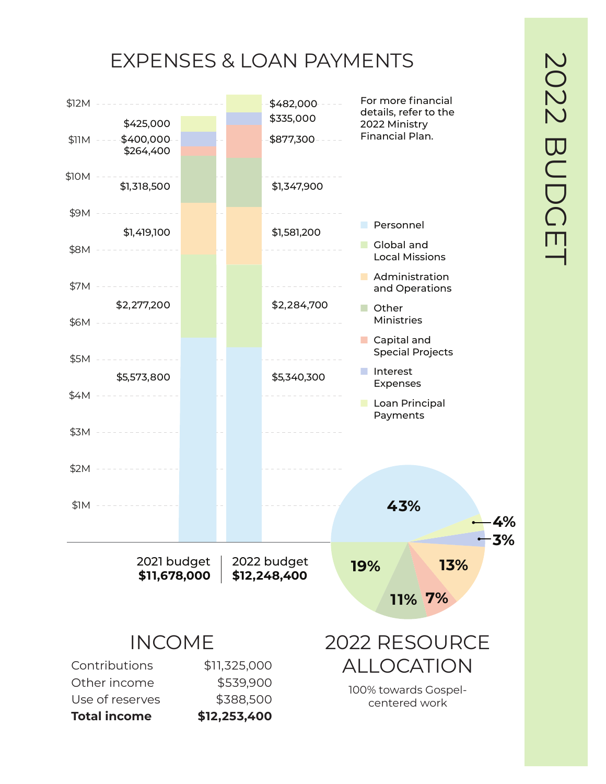# EXPENSES & LOAN PAYMENTS

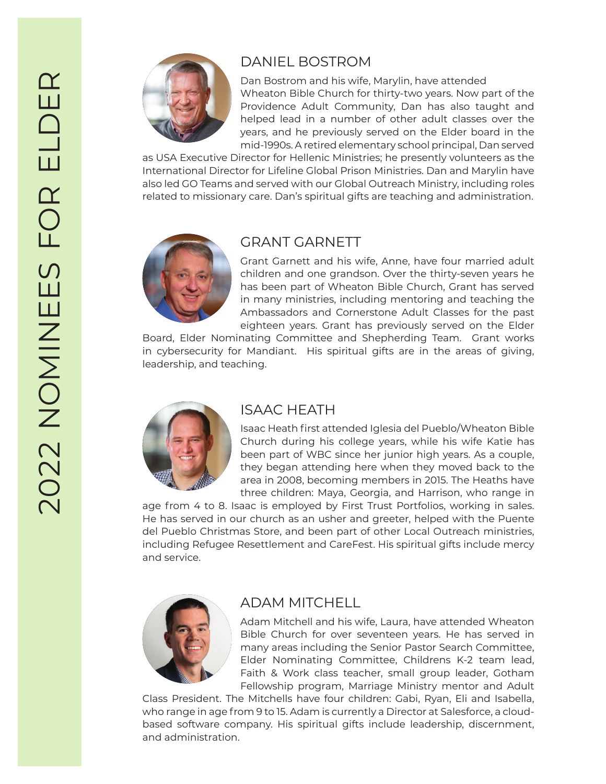

## DANIEL BOSTROM

Dan Bostrom and his wife, Marylin, have attended Wheaton Bible Church for thirty-two years. Now part of the Providence Adult Community, Dan has also taught and helped lead in a number of other adult classes over the years, and he previously served on the Elder board in the mid-1990s. A retired elementary school principal, Dan served

as USA Executive Director for Hellenic Ministries; he presently volunteers as the International Director for Lifeline Global Prison Ministries. Dan and Marylin have also led GO Teams and served with our Global Outreach Ministry, including roles related to missionary care. Dan's spiritual gifts are teaching and administration.



## GRANT GARNETT

Grant Garnett and his wife, Anne, have four married adult children and one grandson. Over the thirty-seven years he has been part of Wheaton Bible Church, Grant has served in many ministries, including mentoring and teaching the Ambassadors and Cornerstone Adult Classes for the past eighteen years. Grant has previously served on the Elder

Board, Elder Nominating Committee and Shepherding Team. Grant works in cybersecurity for Mandiant. His spiritual gifts are in the areas of giving, leadership, and teaching.



### ISAAC HEATH

Isaac Heath first attended Iglesia del Pueblo/Wheaton Bible Church during his college years, while his wife Katie has been part of WBC since her junior high years. As a couple, they began attending here when they moved back to the area in 2008, becoming members in 2015. The Heaths have three children: Maya, Georgia, and Harrison, who range in

age from 4 to 8. Isaac is employed by First Trust Portfolios, working in sales. He has served in our church as an usher and greeter, helped with the Puente del Pueblo Christmas Store, and been part of other Local Outreach ministries, including Refugee Resettlement and CareFest. His spiritual gifts include mercy and service.



### ADAM MITCHELL

Adam Mitchell and his wife, Laura, have attended Wheaton Bible Church for over seventeen years. He has served in many areas including the Senior Pastor Search Committee, Elder Nominating Committee, Childrens K-2 team lead, Faith & Work class teacher, small group leader, Gotham Fellowship program, Marriage Ministry mentor and Adult

Class President. The Mitchells have four children: Gabi, Ryan, Eli and Isabella, who range in age from 9 to 15. Adam is currently a Director at Salesforce, a cloudbased software company. His spiritual gifts include leadership, discernment, and administration.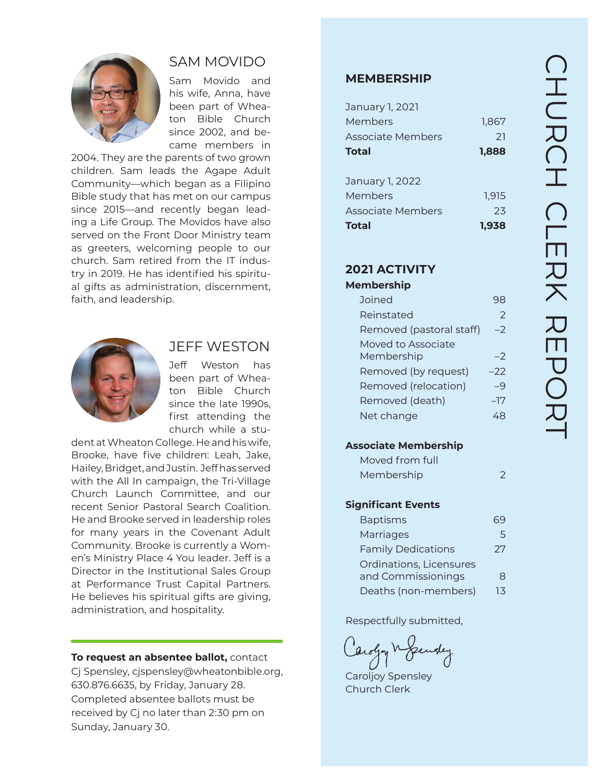

## SAM MOVIDO

Sam Movido and his wife, Anna, have been part of Whea ton Bible Church since 2002, and be came members in

2004. They are the parents of two grown children. Sam leads the Agape Adult Community—which began as a Filipino Bible study that has met on our campus since 2015—and recently began lead ing a Life Group. The Movidos have also served on the Front Door Ministry team as greeters, welcoming people to our church. Sam retired from the IT indus try in 2019. He has identified his spiritu al gifts as administration, discernment, faith, and leadership.



#### JEFF WESTON

Jeff Weston has been part of Whea ton Bible Church since the late 1990s, first attending the church while a stu -

dent at Wheaton College. He and his wife, Brooke, have five children: Leah, Jake, Hailey, Bridget, and Justin. Jeff has served with the All In campaign, the Tri-Village Church Launch Committee, and our recent Senior Pastoral Search Coalition. He and Brooke served in leadership roles for many years in the Covenant Adult Community. Brooke is currently a Wom en's Ministry Place 4 You leader. Jeff is a Director in the Institutional Sales Group at Performance Trust Capital Partners. He believes his spiritual gifts are giving, administration, and hospitality.

#### **To request an absentee ballot,** contact

Cj Spensley, cjspensley@wheatonbible.org, 630.876.6635, by Friday, January 28. Completed absentee ballots must be received by Cj no later than 2:30 pm on Sunday, January 30.

#### **MEMBERSHIP**

| January 1, 2021          |       |
|--------------------------|-------|
| Members                  | 1,867 |
| Associate Members        | 21    |
| <b>Total</b>             | 1,888 |
|                          |       |
| January 1, 2022          |       |
| Members                  | 1.915 |
| <b>Associate Members</b> | 23    |
| Total                    | 1.938 |

### **2021 ACTIVITY**

#### **Membership**

| Joined                           |      |
|----------------------------------|------|
| Reinstated                       | 2    |
| Removed (pastoral staff)         | $-2$ |
| Moved to Associate<br>Membership | -7   |
| Removed (by request)             | -22  |
| Removed (relocation)             | $-9$ |
| Removed (death)                  | –17  |
| Net change                       |      |

#### **Associate Membership**

| Moved from full |                |
|-----------------|----------------|
| Membership      | $\overline{2}$ |

#### **Significant Events**

| <b>Baptisms</b>           |    |
|---------------------------|----|
| Marriages                 | 5  |
| <b>Family Dedications</b> | 27 |
| Ordinations, Licensures   |    |
| and Commissionings        | 8  |
| Deaths (non-members)      | 13 |

Respectfully submitted,

Caroljoy Spensley Church Clerk